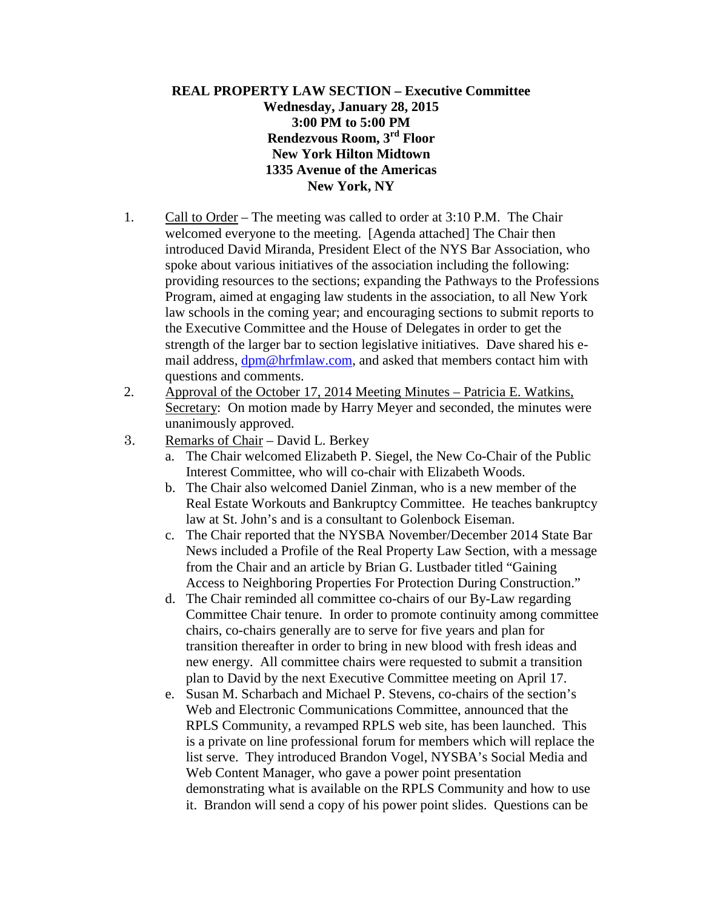## **REAL PROPERTY LAW SECTION – Executive Committee Wednesday, January 28, 2015 3:00 PM to 5:00 PM Rendezvous Room, 3rd Floor New York Hilton Midtown 1335 Avenue of the Americas New York, NY**

- 1. Call to Order The meeting was called to order at 3:10 P.M. The Chair welcomed everyone to the meeting. [Agenda attached] The Chair then introduced David Miranda, President Elect of the NYS Bar Association, who spoke about various initiatives of the association including the following: providing resources to the sections; expanding the Pathways to the Professions Program, aimed at engaging law students in the association, to all New York law schools in the coming year; and encouraging sections to submit reports to the Executive Committee and the House of Delegates in order to get the strength of the larger bar to section legislative initiatives. Dave shared his email address,  $dpm@hrfnlaw.com$ , and asked that members contact him with questions and comments.
- 2. Approval of the October 17, 2014 Meeting Minutes Patricia E. Watkins, Secretary: On motion made by Harry Meyer and seconded, the minutes were unanimously approved.
- 3. Remarks of Chair David L. Berkey
	- a. The Chair welcomed Elizabeth P. Siegel, the New Co-Chair of the Public Interest Committee, who will co-chair with Elizabeth Woods.
	- b. The Chair also welcomed Daniel Zinman, who is a new member of the Real Estate Workouts and Bankruptcy Committee. He teaches bankruptcy law at St. John's and is a consultant to Golenbock Eiseman.
	- c. The Chair reported that the NYSBA November/December 2014 State Bar News included a Profile of the Real Property Law Section, with a message from the Chair and an article by Brian G. Lustbader titled "Gaining Access to Neighboring Properties For Protection During Construction."
	- d. The Chair reminded all committee co-chairs of our By-Law regarding Committee Chair tenure. In order to promote continuity among committee chairs, co-chairs generally are to serve for five years and plan for transition thereafter in order to bring in new blood with fresh ideas and new energy. All committee chairs were requested to submit a transition plan to David by the next Executive Committee meeting on April 17.
	- e. Susan M. Scharbach and Michael P. Stevens, co-chairs of the section's Web and Electronic Communications Committee, announced that the RPLS Community, a revamped RPLS web site, has been launched. This is a private on line professional forum for members which will replace the list serve. They introduced Brandon Vogel, NYSBA's Social Media and Web Content Manager, who gave a power point presentation demonstrating what is available on the RPLS Community and how to use it. Brandon will send a copy of his power point slides. Questions can be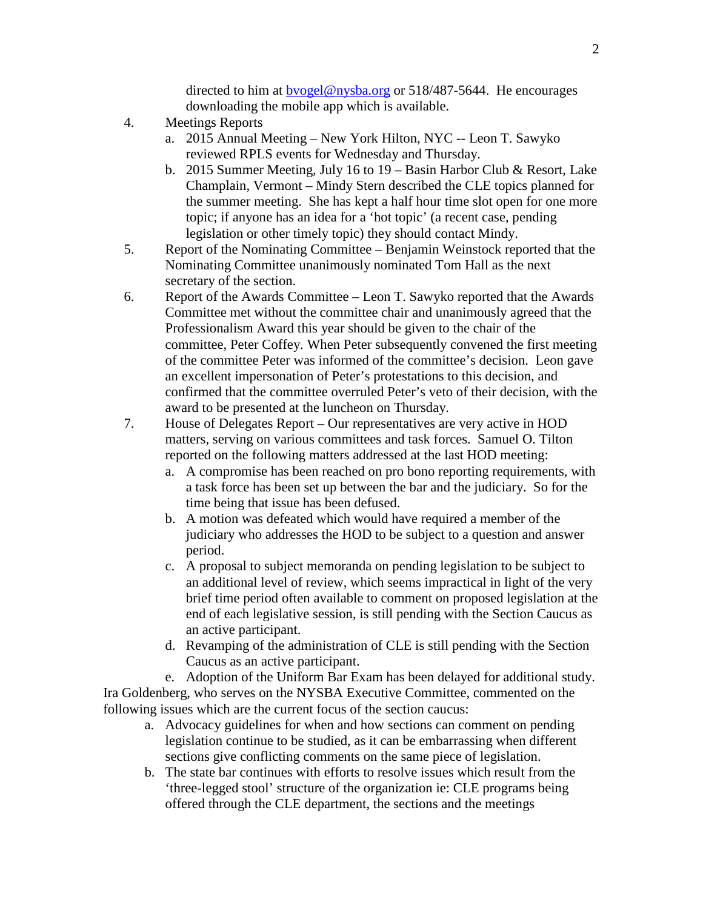directed to him at **byogel@nysba.org** or 518/487-5644. He encourages downloading the mobile app which is available.

- 4. Meetings Reports
	- a. 2015 Annual Meeting New York Hilton, NYC -- Leon T. Sawyko reviewed RPLS events for Wednesday and Thursday.
	- b. 2015 Summer Meeting, July 16 to 19 Basin Harbor Club & Resort, Lake Champlain, Vermont – Mindy Stern described the CLE topics planned for the summer meeting. She has kept a half hour time slot open for one more topic; if anyone has an idea for a 'hot topic' (a recent case, pending legislation or other timely topic) they should contact Mindy.
- 5. Report of the Nominating Committee Benjamin Weinstock reported that the Nominating Committee unanimously nominated Tom Hall as the next secretary of the section.
- 6. Report of the Awards Committee Leon T. Sawyko reported that the Awards Committee met without the committee chair and unanimously agreed that the Professionalism Award this year should be given to the chair of the committee, Peter Coffey. When Peter subsequently convened the first meeting of the committee Peter was informed of the committee's decision. Leon gave an excellent impersonation of Peter's protestations to this decision, and confirmed that the committee overruled Peter's veto of their decision, with the award to be presented at the luncheon on Thursday.
- 7. House of Delegates Report Our representatives are very active in HOD matters, serving on various committees and task forces. Samuel O. Tilton reported on the following matters addressed at the last HOD meeting:
	- a. A compromise has been reached on pro bono reporting requirements, with a task force has been set up between the bar and the judiciary. So for the time being that issue has been defused.
	- b. A motion was defeated which would have required a member of the judiciary who addresses the HOD to be subject to a question and answer period.
	- c. A proposal to subject memoranda on pending legislation to be subject to an additional level of review, which seems impractical in light of the very brief time period often available to comment on proposed legislation at the end of each legislative session, is still pending with the Section Caucus as an active participant.
	- d. Revamping of the administration of CLE is still pending with the Section Caucus as an active participant.

e. Adoption of the Uniform Bar Exam has been delayed for additional study. Ira Goldenberg, who serves on the NYSBA Executive Committee, commented on the following issues which are the current focus of the section caucus:

- a. Advocacy guidelines for when and how sections can comment on pending legislation continue to be studied, as it can be embarrassing when different sections give conflicting comments on the same piece of legislation.
- b. The state bar continues with efforts to resolve issues which result from the 'three-legged stool' structure of the organization ie: CLE programs being offered through the CLE department, the sections and the meetings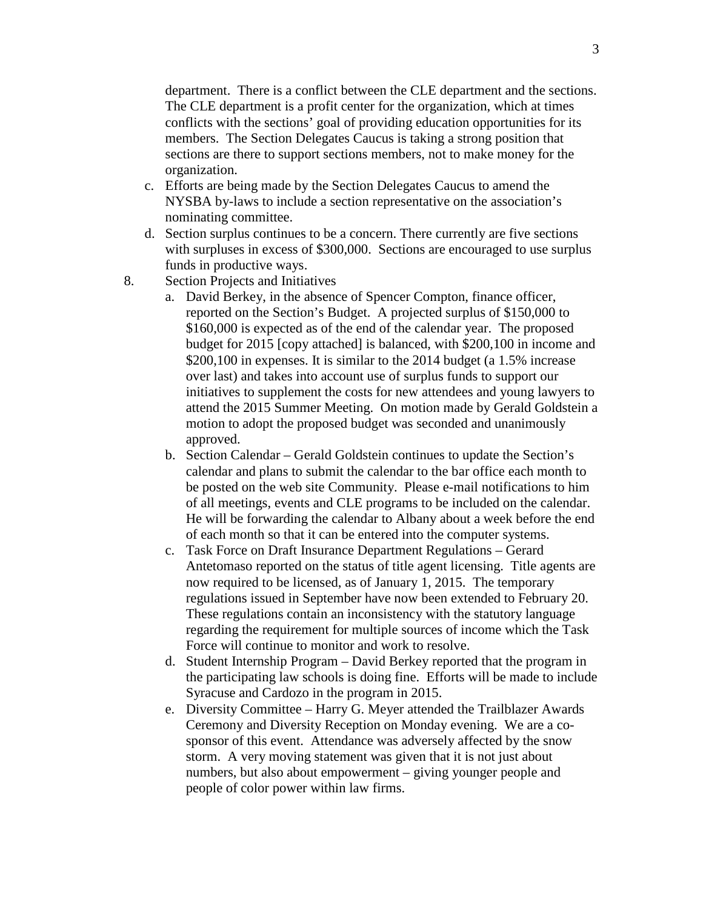department. There is a conflict between the CLE department and the sections. The CLE department is a profit center for the organization, which at times conflicts with the sections' goal of providing education opportunities for its members. The Section Delegates Caucus is taking a strong position that sections are there to support sections members, not to make money for the organization.

- c. Efforts are being made by the Section Delegates Caucus to amend the NYSBA by-laws to include a section representative on the association's nominating committee.
- d. Section surplus continues to be a concern. There currently are five sections with surpluses in excess of \$300,000. Sections are encouraged to use surplus funds in productive ways.
- 8. Section Projects and Initiatives
	- a. David Berkey, in the absence of Spencer Compton, finance officer, reported on the Section's Budget. A projected surplus of \$150,000 to \$160,000 is expected as of the end of the calendar year. The proposed budget for 2015 [copy attached] is balanced, with \$200,100 in income and \$200,100 in expenses. It is similar to the 2014 budget (a 1.5% increase over last) and takes into account use of surplus funds to support our initiatives to supplement the costs for new attendees and young lawyers to attend the 2015 Summer Meeting. On motion made by Gerald Goldstein a motion to adopt the proposed budget was seconded and unanimously approved.
	- b. Section Calendar Gerald Goldstein continues to update the Section's calendar and plans to submit the calendar to the bar office each month to be posted on the web site Community. Please e-mail notifications to him of all meetings, events and CLE programs to be included on the calendar. He will be forwarding the calendar to Albany about a week before the end of each month so that it can be entered into the computer systems.
	- c. Task Force on Draft Insurance Department Regulations Gerard Antetomaso reported on the status of title agent licensing. Title agents are now required to be licensed, as of January 1, 2015. The temporary regulations issued in September have now been extended to February 20. These regulations contain an inconsistency with the statutory language regarding the requirement for multiple sources of income which the Task Force will continue to monitor and work to resolve.
	- d. Student Internship Program David Berkey reported that the program in the participating law schools is doing fine. Efforts will be made to include Syracuse and Cardozo in the program in 2015.
	- e. Diversity Committee Harry G. Meyer attended the Trailblazer Awards Ceremony and Diversity Reception on Monday evening. We are a cosponsor of this event. Attendance was adversely affected by the snow storm. A very moving statement was given that it is not just about numbers, but also about empowerment – giving younger people and people of color power within law firms.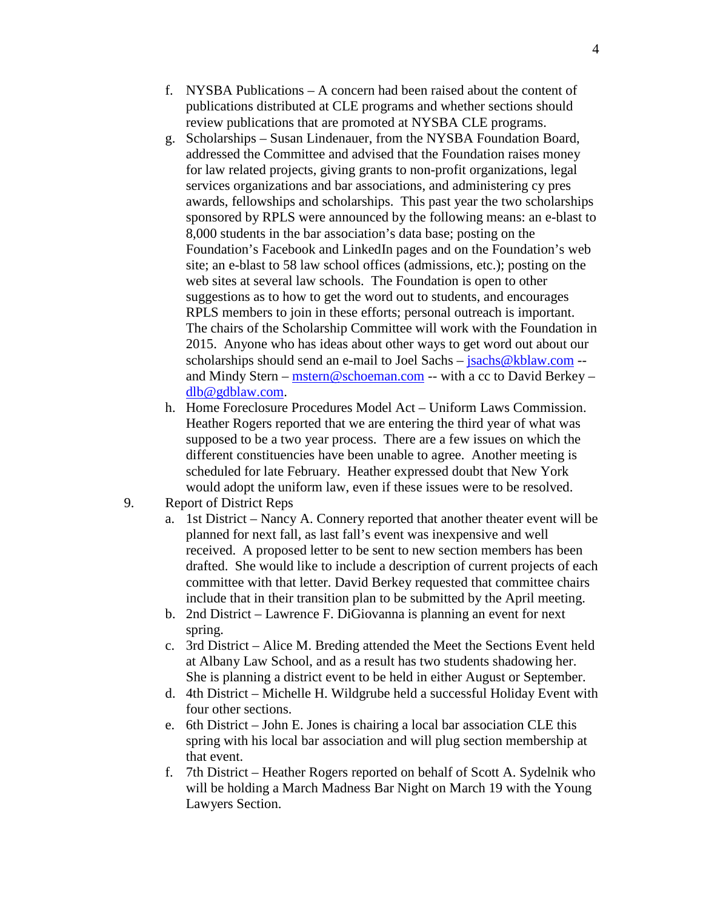- f. NYSBA Publications A concern had been raised about the content of publications distributed at CLE programs and whether sections should review publications that are promoted at NYSBA CLE programs.
- g. Scholarships Susan Lindenauer, from the NYSBA Foundation Board, addressed the Committee and advised that the Foundation raises money for law related projects, giving grants to non-profit organizations, legal services organizations and bar associations, and administering cy pres awards, fellowships and scholarships. This past year the two scholarships sponsored by RPLS were announced by the following means: an e-blast to 8,000 students in the bar association's data base; posting on the Foundation's Facebook and LinkedIn pages and on the Foundation's web site; an e-blast to 58 law school offices (admissions, etc.); posting on the web sites at several law schools. The Foundation is open to other suggestions as to how to get the word out to students, and encourages RPLS members to join in these efforts; personal outreach is important. The chairs of the Scholarship Committee will work with the Foundation in 2015. Anyone who has ideas about other ways to get word out about our scholarships should send an e-mail to Joel Sachs – [jsachs@kblaw.com](mailto:jsachs@kblaw.com) -and Mindy Stern – [mstern@schoeman.com](mailto:mstern@schoeman.com) -- with a cc to David Berkey – [dlb@gdblaw.com.](mailto:dlb@gdblaw.com)
- h. Home Foreclosure Procedures Model Act Uniform Laws Commission. Heather Rogers reported that we are entering the third year of what was supposed to be a two year process. There are a few issues on which the different constituencies have been unable to agree. Another meeting is scheduled for late February. Heather expressed doubt that New York would adopt the uniform law, even if these issues were to be resolved.
- 9. Report of District Reps
	- a. 1st District Nancy A. Connery reported that another theater event will be planned for next fall, as last fall's event was inexpensive and well received. A proposed letter to be sent to new section members has been drafted. She would like to include a description of current projects of each committee with that letter. David Berkey requested that committee chairs include that in their transition plan to be submitted by the April meeting.
	- b. 2nd District Lawrence F. DiGiovanna is planning an event for next spring.
	- c. 3rd District Alice M. Breding attended the Meet the Sections Event held at Albany Law School, and as a result has two students shadowing her. She is planning a district event to be held in either August or September.
	- d. 4th District Michelle H. Wildgrube held a successful Holiday Event with four other sections.
	- e. 6th District John E. Jones is chairing a local bar association CLE this spring with his local bar association and will plug section membership at that event.
	- f. 7th District Heather Rogers reported on behalf of Scott A. Sydelnik who will be holding a March Madness Bar Night on March 19 with the Young Lawyers Section.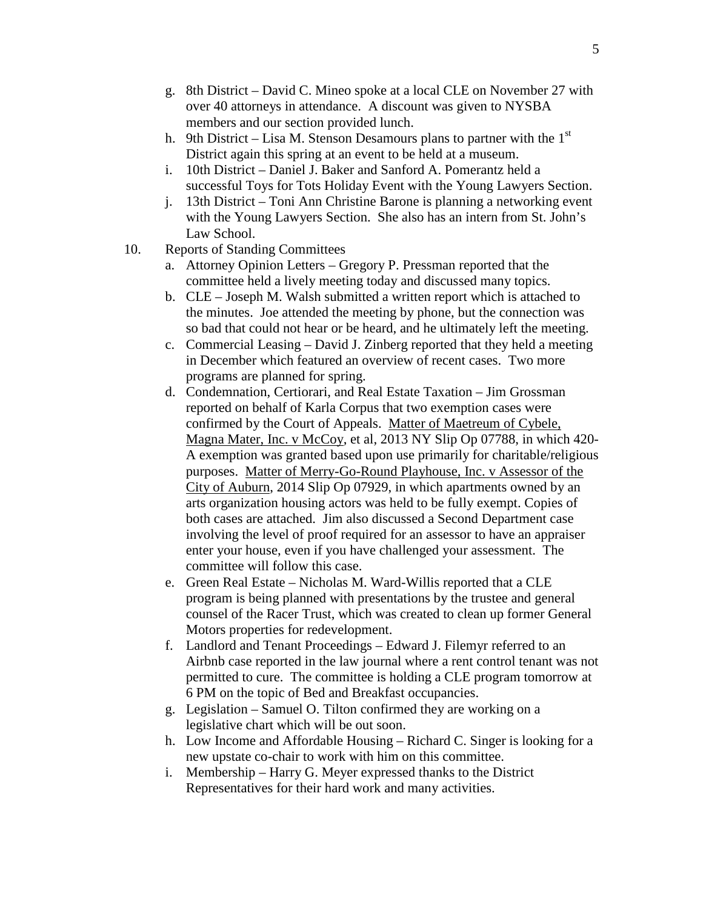- g. 8th District David C. Mineo spoke at a local CLE on November 27 with over 40 attorneys in attendance. A discount was given to NYSBA members and our section provided lunch.
- h. 9th District Lisa M. Stenson Desamours plans to partner with the  $1<sup>st</sup>$ District again this spring at an event to be held at a museum.
- i. 10th District Daniel J. Baker and Sanford A. Pomerantz held a successful Toys for Tots Holiday Event with the Young Lawyers Section.
- j. 13th District Toni Ann Christine Barone is planning a networking event with the Young Lawyers Section. She also has an intern from St. John's Law School.
- 10. Reports of Standing Committees
	- a. Attorney Opinion Letters Gregory P. Pressman reported that the committee held a lively meeting today and discussed many topics.
	- b. CLE Joseph M. Walsh submitted a written report which is attached to the minutes. Joe attended the meeting by phone, but the connection was so bad that could not hear or be heard, and he ultimately left the meeting.
	- c. Commercial Leasing David J. Zinberg reported that they held a meeting in December which featured an overview of recent cases. Two more programs are planned for spring.
	- d. Condemnation, Certiorari, and Real Estate Taxation Jim Grossman reported on behalf of Karla Corpus that two exemption cases were confirmed by the Court of Appeals. Matter of Maetreum of Cybele, Magna Mater, Inc. v McCoy, et al, 2013 NY Slip Op 07788, in which 420- A exemption was granted based upon use primarily for charitable/religious purposes. Matter of Merry-Go-Round Playhouse, Inc. v Assessor of the City of Auburn, 2014 Slip Op 07929, in which apartments owned by an arts organization housing actors was held to be fully exempt. Copies of both cases are attached. Jim also discussed a Second Department case involving the level of proof required for an assessor to have an appraiser enter your house, even if you have challenged your assessment. The committee will follow this case.
	- e. Green Real Estate Nicholas M. Ward-Willis reported that a CLE program is being planned with presentations by the trustee and general counsel of the Racer Trust, which was created to clean up former General Motors properties for redevelopment.
	- f. Landlord and Tenant Proceedings Edward J. Filemyr referred to an Airbnb case reported in the law journal where a rent control tenant was not permitted to cure. The committee is holding a CLE program tomorrow at 6 PM on the topic of Bed and Breakfast occupancies.
	- g. Legislation Samuel O. Tilton confirmed they are working on a legislative chart which will be out soon.
	- h. Low Income and Affordable Housing Richard C. Singer is looking for a new upstate co-chair to work with him on this committee.
	- i. Membership Harry G. Meyer expressed thanks to the District Representatives for their hard work and many activities.